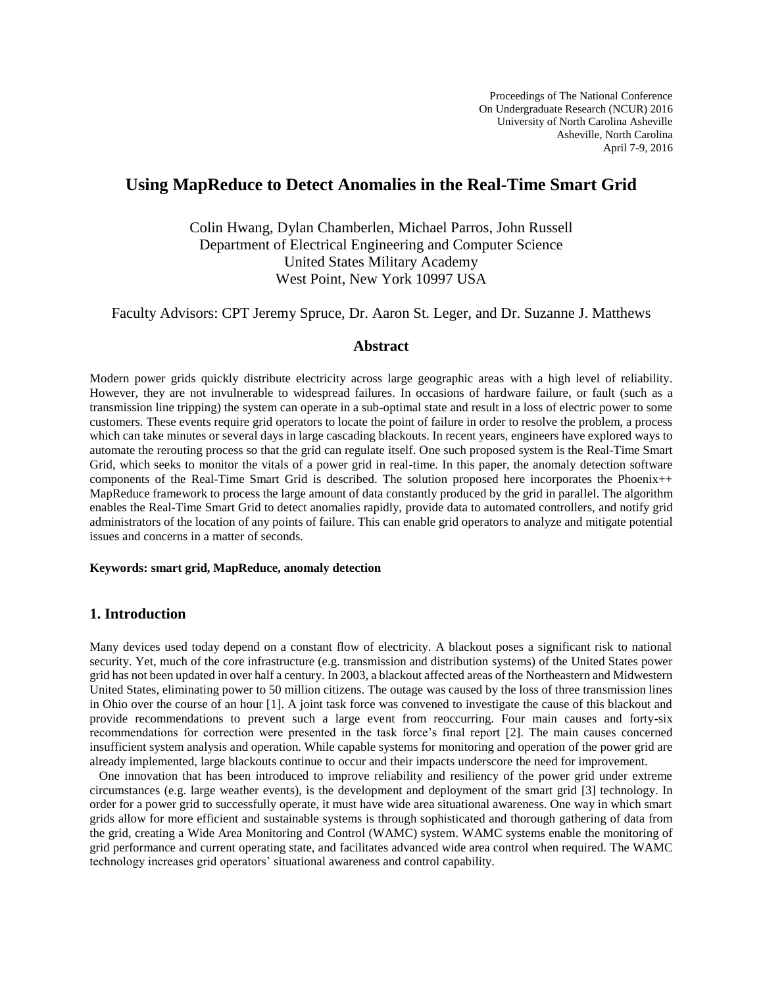Proceedings of The National Conference On Undergraduate Research (NCUR) 2016 University of North Carolina Asheville Asheville, North Carolina April 7-9, 2016

# **Using MapReduce to Detect Anomalies in the Real-Time Smart Grid**

Colin Hwang, Dylan Chamberlen, Michael Parros, John Russell Department of Electrical Engineering and Computer Science United States Military Academy West Point, New York 10997 USA

Faculty Advisors: CPT Jeremy Spruce, Dr. Aaron St. Leger, and Dr. Suzanne J. Matthews

#### **Abstract**

Modern power grids quickly distribute electricity across large geographic areas with a high level of reliability. However, they are not invulnerable to widespread failures. In occasions of hardware failure, or fault (such as a transmission line tripping) the system can operate in a sub-optimal state and result in a loss of electric power to some customers. These events require grid operators to locate the point of failure in order to resolve the problem, a process which can take minutes or several days in large cascading blackouts. In recent years, engineers have explored ways to automate the rerouting process so that the grid can regulate itself. One such proposed system is the Real-Time Smart Grid, which seeks to monitor the vitals of a power grid in real-time. In this paper, the anomaly detection software components of the Real-Time Smart Grid is described. The solution proposed here incorporates the Phoenix++ MapReduce framework to process the large amount of data constantly produced by the grid in parallel. The algorithm enables the Real-Time Smart Grid to detect anomalies rapidly, provide data to automated controllers, and notify grid administrators of the location of any points of failure. This can enable grid operators to analyze and mitigate potential issues and concerns in a matter of seconds.

#### **Keywords: smart grid, MapReduce, anomaly detection**

## **1. Introduction**

Many devices used today depend on a constant flow of electricity. A blackout poses a significant risk to national security. Yet, much of the core infrastructure (e.g. transmission and distribution systems) of the United States power grid has not been updated in over half a century. In 2003, a blackout affected areas of the Northeastern and Midwestern United States, eliminating power to 50 million citizens. The outage was caused by the loss of three transmission lines in Ohio over the course of an hour [1]. A joint task force was convened to investigate the cause of this blackout and provide recommendations to prevent such a large event from reoccurring. Four main causes and forty-six recommendations for correction were presented in the task force's final report [2]. The main causes concerned insufficient system analysis and operation. While capable systems for monitoring and operation of the power grid are already implemented, large blackouts continue to occur and their impacts underscore the need for improvement.

 One innovation that has been introduced to improve reliability and resiliency of the power grid under extreme circumstances (e.g. large weather events), is the development and deployment of the smart grid [3] technology. In order for a power grid to successfully operate, it must have wide area situational awareness. One way in which smart grids allow for more efficient and sustainable systems is through sophisticated and thorough gathering of data from the grid, creating a Wide Area Monitoring and Control (WAMC) system. WAMC systems enable the monitoring of grid performance and current operating state, and facilitates advanced wide area control when required. The WAMC technology increases grid operators' situational awareness and control capability.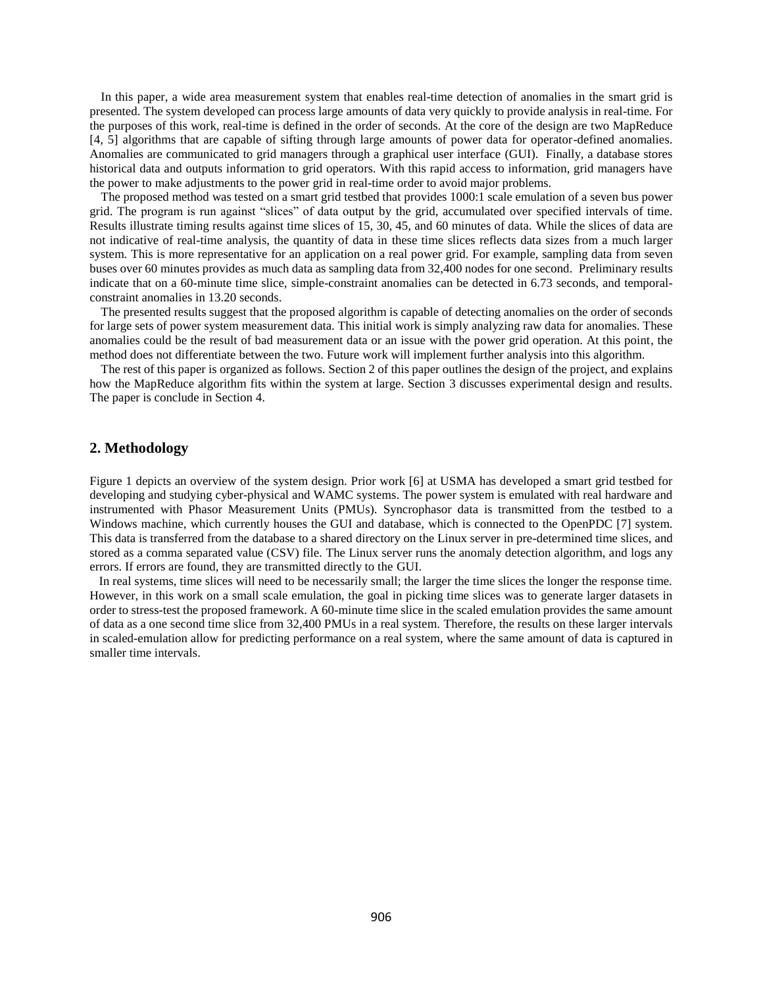In this paper, a wide area measurement system that enables real-time detection of anomalies in the smart grid is presented. The system developed can process large amounts of data very quickly to provide analysis in real-time. For the purposes of this work, real-time is defined in the order of seconds. At the core of the design are two MapReduce [4, 5] algorithms that are capable of sifting through large amounts of power data for operator-defined anomalies. Anomalies are communicated to grid managers through a graphical user interface (GUI). Finally, a database stores historical data and outputs information to grid operators. With this rapid access to information, grid managers have the power to make adjustments to the power grid in real-time order to avoid major problems.

The proposed method was tested on a smart grid testbed that provides 1000:1 scale emulation of a seven bus power grid. The program is run against "slices" of data output by the grid, accumulated over specified intervals of time. Results illustrate timing results against time slices of 15, 30, 45, and 60 minutes of data. While the slices of data are not indicative of real-time analysis, the quantity of data in these time slices reflects data sizes from a much larger system. This is more representative for an application on a real power grid. For example, sampling data from seven buses over 60 minutes provides as much data as sampling data from 32,400 nodes for one second. Preliminary results indicate that on a 60-minute time slice, simple-constraint anomalies can be detected in 6.73 seconds, and temporalconstraint anomalies in 13.20 seconds.

The presented results suggest that the proposed algorithm is capable of detecting anomalies on the order of seconds for large sets of power system measurement data. This initial work is simply analyzing raw data for anomalies. These anomalies could be the result of bad measurement data or an issue with the power grid operation. At this point, the method does not differentiate between the two. Future work will implement further analysis into this algorithm.

The rest of this paper is organized as follows. Section 2 of this paper outlines the design of the project, and explains how the MapReduce algorithm fits within the system at large. Section 3 discusses experimental design and results. The paper is conclude in Section 4.

#### **2. Methodology**

Figure 1 depicts an overview of the system design. Prior work [6] at USMA has developed a smart grid testbed for developing and studying cyber-physical and WAMC systems. The power system is emulated with real hardware and instrumented with Phasor Measurement Units (PMUs). Syncrophasor data is transmitted from the testbed to a Windows machine, which currently houses the GUI and database, which is connected to the OpenPDC [7] system. This data is transferred from the database to a shared directory on the Linux server in pre-determined time slices, and stored as a comma separated value (CSV) file. The Linux server runs the anomaly detection algorithm, and logs any errors. If errors are found, they are transmitted directly to the GUI.

 In real systems, time slices will need to be necessarily small; the larger the time slices the longer the response time. However, in this work on a small scale emulation, the goal in picking time slices was to generate larger datasets in order to stress-test the proposed framework. A 60-minute time slice in the scaled emulation provides the same amount of data as a one second time slice from 32,400 PMUs in a real system. Therefore, the results on these larger intervals in scaled-emulation allow for predicting performance on a real system, where the same amount of data is captured in smaller time intervals.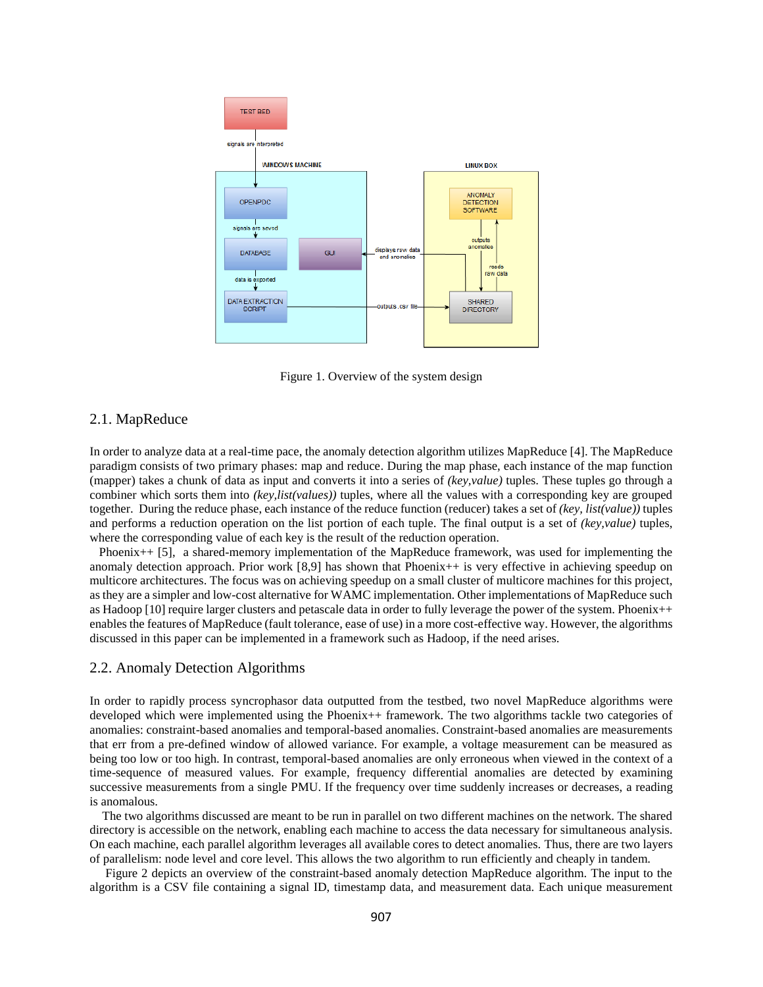

Figure 1. Overview of the system design

## 2.1. MapReduce

In order to analyze data at a real-time pace, the anomaly detection algorithm utilizes MapReduce [4]. The MapReduce paradigm consists of two primary phases: map and reduce. During the map phase, each instance of the map function (mapper) takes a chunk of data as input and converts it into a series of *(key,value)* tuples. These tuples go through a combiner which sorts them into *(key,list(values))* tuples, where all the values with a corresponding key are grouped together. During the reduce phase, each instance of the reduce function (reducer) takes a set of *(key, list(value))* tuples and performs a reduction operation on the list portion of each tuple. The final output is a set of *(key,value)* tuples, where the corresponding value of each key is the result of the reduction operation.

 Phoenix++ [5], a shared-memory implementation of the MapReduce framework, was used for implementing the anomaly detection approach. Prior work [8,9] has shown that Phoenix++ is very effective in achieving speedup on multicore architectures. The focus was on achieving speedup on a small cluster of multicore machines for this project, as they are a simpler and low-cost alternative for WAMC implementation. Other implementations of MapReduce such as Hadoop [10] require larger clusters and petascale data in order to fully leverage the power of the system. Phoenix++ enables the features of MapReduce (fault tolerance, ease of use) in a more cost-effective way. However, the algorithms discussed in this paper can be implemented in a framework such as Hadoop, if the need arises.

#### 2.2. Anomaly Detection Algorithms

In order to rapidly process syncrophasor data outputted from the testbed, two novel MapReduce algorithms were developed which were implemented using the Phoenix++ framework. The two algorithms tackle two categories of anomalies: constraint-based anomalies and temporal-based anomalies. Constraint-based anomalies are measurements that err from a pre-defined window of allowed variance. For example, a voltage measurement can be measured as being too low or too high. In contrast, temporal-based anomalies are only erroneous when viewed in the context of a time-sequence of measured values. For example, frequency differential anomalies are detected by examining successive measurements from a single PMU. If the frequency over time suddenly increases or decreases, a reading is anomalous.

 The two algorithms discussed are meant to be run in parallel on two different machines on the network. The shared directory is accessible on the network, enabling each machine to access the data necessary for simultaneous analysis. On each machine, each parallel algorithm leverages all available cores to detect anomalies. Thus, there are two layers of parallelism: node level and core level. This allows the two algorithm to run efficiently and cheaply in tandem.

 Figure 2 depicts an overview of the constraint-based anomaly detection MapReduce algorithm. The input to the algorithm is a CSV file containing a signal ID, timestamp data, and measurement data. Each unique measurement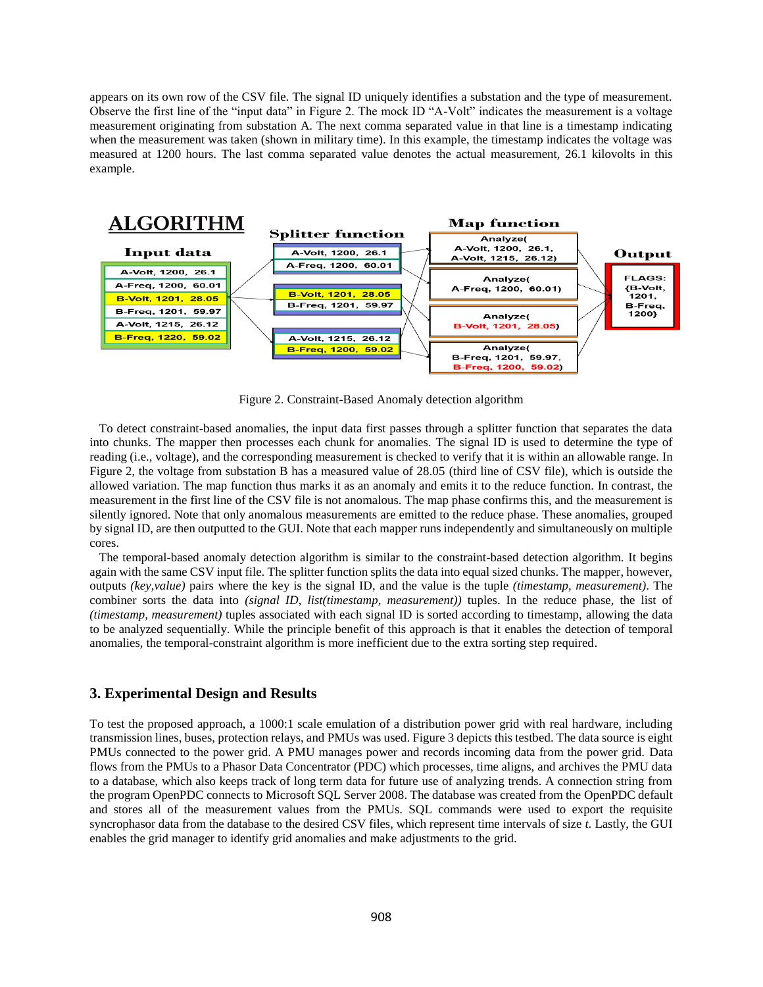appears on its own row of the CSV file. The signal ID uniquely identifies a substation and the type of measurement. Observe the first line of the "input data" in Figure 2. The mock ID "A-Volt" indicates the measurement is a voltage measurement originating from substation A. The next comma separated value in that line is a timestamp indicating when the measurement was taken (shown in military time). In this example, the timestamp indicates the voltage was measured at 1200 hours. The last comma separated value denotes the actual measurement, 26.1 kilovolts in this example.



Figure 2. Constraint-Based Anomaly detection algorithm

 To detect constraint-based anomalies, the input data first passes through a splitter function that separates the data into chunks. The mapper then processes each chunk for anomalies. The signal ID is used to determine the type of reading (i.e., voltage), and the corresponding measurement is checked to verify that it is within an allowable range. In Figure 2, the voltage from substation B has a measured value of 28.05 (third line of CSV file), which is outside the allowed variation. The map function thus marks it as an anomaly and emits it to the reduce function. In contrast, the measurement in the first line of the CSV file is not anomalous. The map phase confirms this, and the measurement is silently ignored. Note that only anomalous measurements are emitted to the reduce phase. These anomalies, grouped by signal ID, are then outputted to the GUI. Note that each mapper runs independently and simultaneously on multiple cores.

 The temporal-based anomaly detection algorithm is similar to the constraint-based detection algorithm. It begins again with the same CSV input file. The splitter function splits the data into equal sized chunks. The mapper, however, outputs *(key,value)* pairs where the key is the signal ID, and the value is the tuple *(timestamp, measurement)*. The combiner sorts the data into *(signal ID, list(timestamp, measurement))* tuples. In the reduce phase, the list of *(timestamp, measurement)* tuples associated with each signal ID is sorted according to timestamp, allowing the data to be analyzed sequentially. While the principle benefit of this approach is that it enables the detection of temporal anomalies, the temporal-constraint algorithm is more inefficient due to the extra sorting step required.

#### **3. Experimental Design and Results**

To test the proposed approach, a 1000:1 scale emulation of a distribution power grid with real hardware, including transmission lines, buses, protection relays, and PMUs was used. Figure 3 depicts this testbed. The data source is eight PMUs connected to the power grid. A PMU manages power and records incoming data from the power grid. Data flows from the PMUs to a Phasor Data Concentrator (PDC) which processes, time aligns, and archives the PMU data to a database, which also keeps track of long term data for future use of analyzing trends. A connection string from the program OpenPDC connects to Microsoft SQL Server 2008. The database was created from the OpenPDC default and stores all of the measurement values from the PMUs. SQL commands were used to export the requisite syncrophasor data from the database to the desired CSV files, which represent time intervals of size *t*. Lastly, the GUI enables the grid manager to identify grid anomalies and make adjustments to the grid.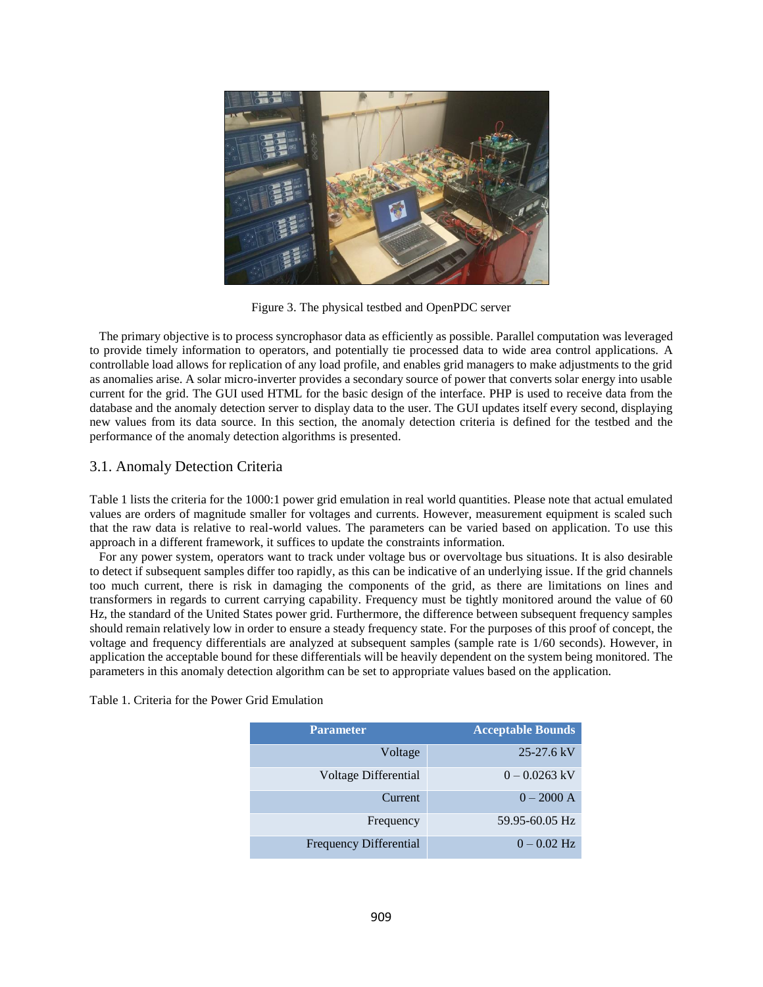

Figure 3. The physical testbed and OpenPDC server

 The primary objective is to process syncrophasor data as efficiently as possible. Parallel computation was leveraged to provide timely information to operators, and potentially tie processed data to wide area control applications. A controllable load allows for replication of any load profile, and enables grid managers to make adjustments to the grid as anomalies arise. A solar micro-inverter provides a secondary source of power that converts solar energy into usable current for the grid. The GUI used HTML for the basic design of the interface. PHP is used to receive data from the database and the anomaly detection server to display data to the user. The GUI updates itself every second, displaying new values from its data source. In this section, the anomaly detection criteria is defined for the testbed and the performance of the anomaly detection algorithms is presented.

## 3.1. Anomaly Detection Criteria

Table 1 lists the criteria for the 1000:1 power grid emulation in real world quantities. Please note that actual emulated values are orders of magnitude smaller for voltages and currents. However, measurement equipment is scaled such that the raw data is relative to real-world values. The parameters can be varied based on application. To use this approach in a different framework, it suffices to update the constraints information.

 For any power system, operators want to track under voltage bus or overvoltage bus situations. It is also desirable to detect if subsequent samples differ too rapidly, as this can be indicative of an underlying issue. If the grid channels too much current, there is risk in damaging the components of the grid, as there are limitations on lines and transformers in regards to current carrying capability. Frequency must be tightly monitored around the value of 60 Hz, the standard of the United States power grid. Furthermore, the difference between subsequent frequency samples should remain relatively low in order to ensure a steady frequency state. For the purposes of this proof of concept, the voltage and frequency differentials are analyzed at subsequent samples (sample rate is 1/60 seconds). However, in application the acceptable bound for these differentials will be heavily dependent on the system being monitored. The parameters in this anomaly detection algorithm can be set to appropriate values based on the application.

| <b>Parameter</b>              | <b>Acceptable Bounds</b> |
|-------------------------------|--------------------------|
| Voltage                       | $25-27.6$ kV             |
| Voltage Differential          | $0 - 0.0263$ kV          |
| Current                       | $0 - 2000 A$             |
| Frequency                     | 59.95-60.05 Hz           |
| <b>Frequency Differential</b> | $0 - 0.02$ Hz            |

Table 1. Criteria for the Power Grid Emulation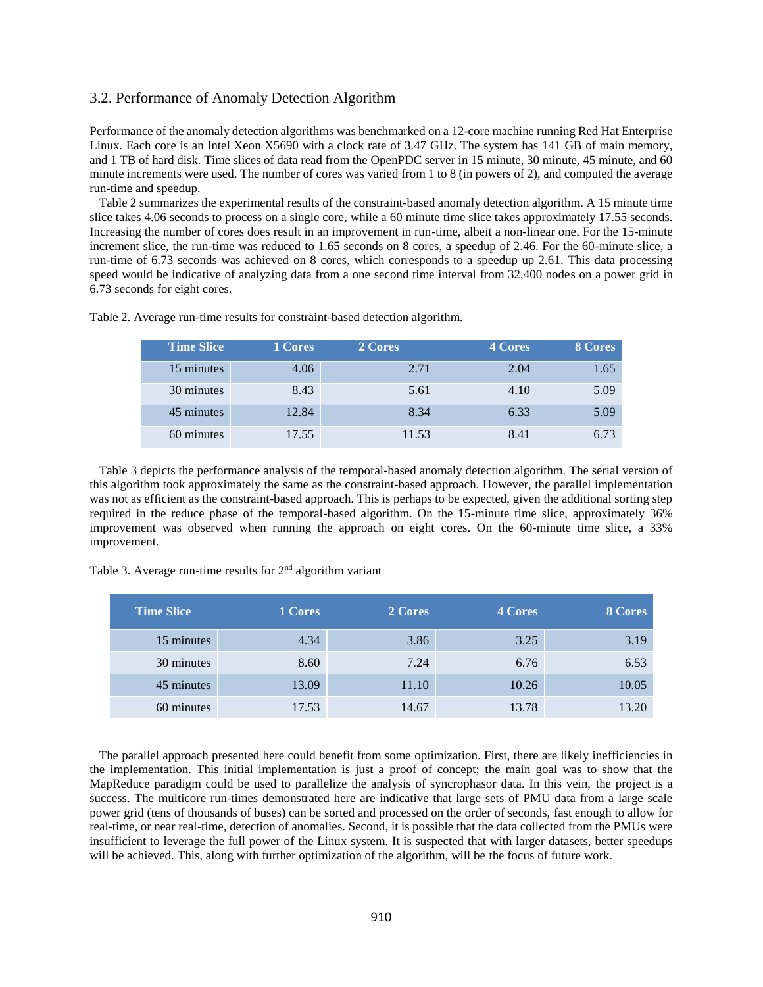#### 3.2. Performance of Anomaly Detection Algorithm

Performance of the anomaly detection algorithms was benchmarked on a 12-core machine running Red Hat Enterprise Linux. Each core is an Intel Xeon X5690 with a clock rate of 3.47 GHz. The system has 141 GB of main memory, and 1 TB of hard disk. Time slices of data read from the OpenPDC server in 15 minute, 30 minute, 45 minute, and 60 minute increments were used. The number of cores was varied from 1 to 8 (in powers of 2), and computed the average run-time and speedup.

 Table 2 summarizes the experimental results of the constraint-based anomaly detection algorithm. A 15 minute time slice takes 4.06 seconds to process on a single core, while a 60 minute time slice takes approximately 17.55 seconds. Increasing the number of cores does result in an improvement in run-time, albeit a non-linear one. For the 15-minute increment slice, the run-time was reduced to 1.65 seconds on 8 cores, a speedup of 2.46. For the 60-minute slice, a run-time of 6.73 seconds was achieved on 8 cores, which corresponds to a speedup up 2.61. This data processing speed would be indicative of analyzing data from a one second time interval from 32,400 nodes on a power grid in 6.73 seconds for eight cores.

| <b>Time Slice</b> | 1 Cores | 2 Cores | 4 Cores | 8 Cores |
|-------------------|---------|---------|---------|---------|
| 15 minutes        | 4.06    | 2.71    | 2.04    | 1.65    |
| 30 minutes        | 8.43    | 5.61    | 4.10    | 5.09    |
| 45 minutes        | 12.84   | 8.34    | 6.33    | 5.09    |
| 60 minutes        | 17.55   | 11.53   | 8.41    | 6.73    |

Table 2. Average run-time results for constraint-based detection algorithm.

 Table 3 depicts the performance analysis of the temporal-based anomaly detection algorithm. The serial version of this algorithm took approximately the same as the constraint-based approach. However, the parallel implementation was not as efficient as the constraint-based approach. This is perhaps to be expected, given the additional sorting step required in the reduce phase of the temporal-based algorithm. On the 15-minute time slice, approximately 36% improvement was observed when running the approach on eight cores. On the 60-minute time slice, a 33% improvement.

| <b>Time Slice</b> | 1 Cores | 2 Cores | 4 Cores | 8 Cores |
|-------------------|---------|---------|---------|---------|
| 15 minutes        | 4.34    | 3.86    | 3.25    | 3.19    |
| 30 minutes        | 8.60    | 7.24    | 6.76    | 6.53    |
| 45 minutes        | 13.09   | 11.10   | 10.26   | 10.05   |
| 60 minutes        | 17.53   | 14.67   | 13.78   | 13.20   |

Table 3. Average run-time results for  $2<sup>nd</sup>$  algorithm variant

 The parallel approach presented here could benefit from some optimization. First, there are likely inefficiencies in the implementation. This initial implementation is just a proof of concept; the main goal was to show that the MapReduce paradigm could be used to parallelize the analysis of syncrophasor data. In this vein, the project is a success. The multicore run-times demonstrated here are indicative that large sets of PMU data from a large scale power grid (tens of thousands of buses) can be sorted and processed on the order of seconds, fast enough to allow for real-time, or near real-time, detection of anomalies. Second, it is possible that the data collected from the PMUs were insufficient to leverage the full power of the Linux system. It is suspected that with larger datasets, better speedups will be achieved. This, along with further optimization of the algorithm, will be the focus of future work.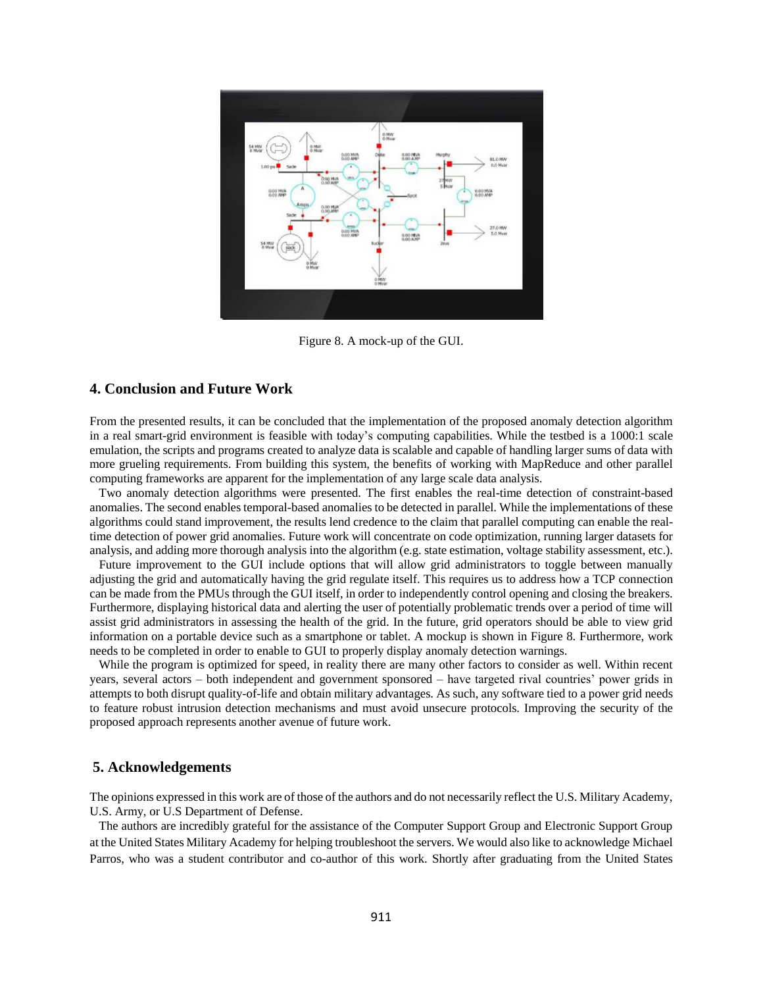

Figure 8. A mock-up of the GUI.

#### **4. Conclusion and Future Work**

From the presented results, it can be concluded that the implementation of the proposed anomaly detection algorithm in a real smart-grid environment is feasible with today's computing capabilities. While the testbed is a 1000:1 scale emulation, the scripts and programs created to analyze data is scalable and capable of handling larger sums of data with more grueling requirements. From building this system, the benefits of working with MapReduce and other parallel computing frameworks are apparent for the implementation of any large scale data analysis.

 Two anomaly detection algorithms were presented. The first enables the real-time detection of constraint-based anomalies. The second enables temporal-based anomalies to be detected in parallel. While the implementations of these algorithms could stand improvement, the results lend credence to the claim that parallel computing can enable the realtime detection of power grid anomalies. Future work will concentrate on code optimization, running larger datasets for analysis, and adding more thorough analysis into the algorithm (e.g. state estimation, voltage stability assessment, etc.).

 Future improvement to the GUI include options that will allow grid administrators to toggle between manually adjusting the grid and automatically having the grid regulate itself. This requires us to address how a TCP connection can be made from the PMUs through the GUI itself, in order to independently control opening and closing the breakers. Furthermore, displaying historical data and alerting the user of potentially problematic trends over a period of time will assist grid administrators in assessing the health of the grid. In the future, grid operators should be able to view grid information on a portable device such as a smartphone or tablet. A mockup is shown in Figure 8. Furthermore, work needs to be completed in order to enable to GUI to properly display anomaly detection warnings.

 While the program is optimized for speed, in reality there are many other factors to consider as well. Within recent years, several actors – both independent and government sponsored – have targeted rival countries' power grids in attempts to both disrupt quality-of-life and obtain military advantages. As such, any software tied to a power grid needs to feature robust intrusion detection mechanisms and must avoid unsecure protocols. Improving the security of the proposed approach represents another avenue of future work.

## **5. Acknowledgements**

The opinions expressed in this work are of those of the authors and do not necessarily reflect the U.S. Military Academy, U.S. Army, or U.S Department of Defense.

 The authors are incredibly grateful for the assistance of the Computer Support Group and Electronic Support Group at the United States Military Academy for helping troubleshoot the servers. We would also like to acknowledge Michael Parros, who was a student contributor and co-author of this work. Shortly after graduating from the United States